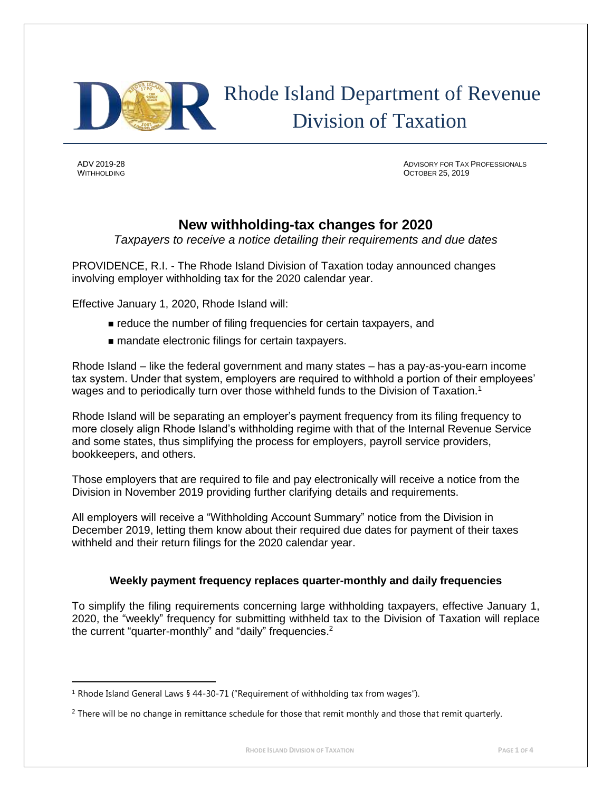

 Rhode Island Department of Revenue Division of Taxation

 $\overline{\phantom{a}}$ 

ADV 2019-28 ADVISORY FOR TAX PROFESSIONALS WITHHOLDING **OCTOBER 25, 2019** 

# **New withholding-tax changes for 2020**

*Taxpayers to receive a notice detailing their requirements and due dates*

PROVIDENCE, R.I. - The Rhode Island Division of Taxation today announced changes involving employer withholding tax for the 2020 calendar year.

Effective January 1, 2020, Rhode Island will:

- reduce the number of filing frequencies for certain taxpayers, and
- mandate electronic filings for certain taxpayers.

Rhode Island – like the federal government and many states – has a pay-as-you-earn income tax system. Under that system, employers are required to withhold a portion of their employees' wages and to periodically turn over those withheld funds to the Division of Taxation.<sup>1</sup>

Rhode Island will be separating an employer's payment frequency from its filing frequency to more closely align Rhode Island's withholding regime with that of the Internal Revenue Service and some states, thus simplifying the process for employers, payroll service providers, bookkeepers, and others.

Those employers that are required to file and pay electronically will receive a notice from the Division in November 2019 providing further clarifying details and requirements.

All employers will receive a "Withholding Account Summary" notice from the Division in December 2019, letting them know about their required due dates for payment of their taxes withheld and their return filings for the 2020 calendar year.

## **Weekly payment frequency replaces quarter-monthly and daily frequencies**

To simplify the filing requirements concerning large withholding taxpayers, effective January 1, 2020, the "weekly" frequency for submitting withheld tax to the Division of Taxation will replace the current "quarter-monthly" and "daily" frequencies.<sup>2</sup>

<sup>&</sup>lt;sup>1</sup> Rhode Island General Laws § 44-30-71 ("Requirement of withholding tax from wages").

<sup>&</sup>lt;sup>2</sup> There will be no change in remittance schedule for those that remit monthly and those that remit quarterly.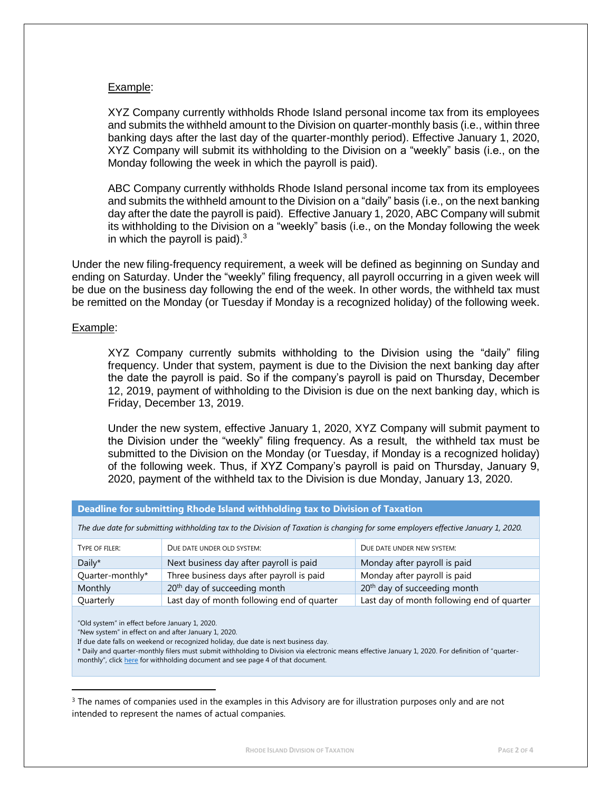### Example:

XYZ Company currently withholds Rhode Island personal income tax from its employees and submits the withheld amount to the Division on quarter-monthly basis (i.e., within three banking days after the last day of the quarter-monthly period). Effective January 1, 2020, XYZ Company will submit its withholding to the Division on a "weekly" basis (i.e., on the Monday following the week in which the payroll is paid).

ABC Company currently withholds Rhode Island personal income tax from its employees and submits the withheld amount to the Division on a "daily" basis (i.e., on the next banking day after the date the payroll is paid). Effective January 1, 2020, ABC Company will submit its withholding to the Division on a "weekly" basis (i.e., on the Monday following the week in which the payroll is paid). $3$ 

Under the new filing-frequency requirement, a week will be defined as beginning on Sunday and ending on Saturday. Under the "weekly" filing frequency, all payroll occurring in a given week will be due on the business day following the end of the week. In other words, the withheld tax must be remitted on the Monday (or Tuesday if Monday is a recognized holiday) of the following week.

#### Example:

XYZ Company currently submits withholding to the Division using the "daily" filing frequency. Under that system, payment is due to the Division the next banking day after the date the payroll is paid. So if the company's payroll is paid on Thursday, December 12, 2019, payment of withholding to the Division is due on the next banking day, which is Friday, December 13, 2019.

Under the new system, effective January 1, 2020, XYZ Company will submit payment to the Division under the "weekly" filing frequency. As a result, the withheld tax must be submitted to the Division on the Monday (or Tuesday, if Monday is a recognized holiday) of the following week. Thus, if XYZ Company's payroll is paid on Thursday, January 9, 2020, payment of the withheld tax to the Division is due Monday, January 13, 2020.

| Deadline for submitting Rhode Island withholding tax to Division of Taxation                                                      |                                            |                                            |
|-----------------------------------------------------------------------------------------------------------------------------------|--------------------------------------------|--------------------------------------------|
| The due date for submitting withholding tax to the Division of Taxation is changing for some employers effective January 1, 2020. |                                            |                                            |
| TYPE OF FILER:                                                                                                                    | DUE DATE UNDER OLD SYSTEM:                 | DUE DATE UNDER NEW SYSTEM:                 |
| Daily $*$                                                                                                                         | Next business day after payroll is paid    | Monday after payroll is paid               |
| Quarter-monthly*                                                                                                                  | Three business days after payroll is paid  | Monday after payroll is paid               |
| Monthly                                                                                                                           | 20 <sup>th</sup> day of succeeding month   | 20 <sup>th</sup> day of succeeding month   |
| Quarterly                                                                                                                         | Last day of month following end of quarter | Last day of month following end of quarter |

"Old system" in effect before January 1, 2020.

 $\overline{\phantom{a}}$ 

"New system" in effect on and after January 1, 2020.

\* Daily and quarter-monthly filers must submit withholding to Division via electronic means effective January 1, 2020. For definition of "quartermonthly", click [here](http://www.tax.ri.gov/forms/2019/Withholding/2019%20Withholding%20Booklet.pdf) for withholding document and see page 4 of that document.

<sup>3</sup> The names of companies used in the examples in this Advisory are for illustration purposes only and are not intended to represent the names of actual companies.

If due date falls on weekend or recognized holiday, due date is next business day.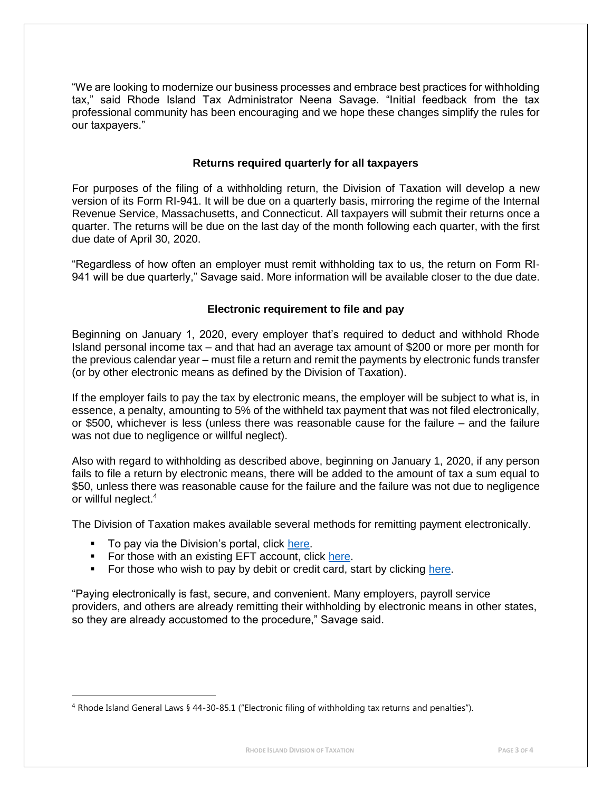"We are looking to modernize our business processes and embrace best practices for withholding tax," said Rhode Island Tax Administrator Neena Savage. "Initial feedback from the tax professional community has been encouraging and we hope these changes simplify the rules for our taxpayers."

## **Returns required quarterly for all taxpayers**

For purposes of the filing of a withholding return, the Division of Taxation will develop a new version of its Form RI-941. It will be due on a quarterly basis, mirroring the regime of the Internal Revenue Service, Massachusetts, and Connecticut. All taxpayers will submit their returns once a quarter. The returns will be due on the last day of the month following each quarter, with the first due date of April 30, 2020.

"Regardless of how often an employer must remit withholding tax to us, the return on Form RI-941 will be due quarterly," Savage said. More information will be available closer to the due date.

## **Electronic requirement to file and pay**

Beginning on January 1, 2020, every employer that's required to deduct and withhold Rhode Island personal income tax – and that had an average tax amount of \$200 or more per month for the previous calendar year – must file a return and remit the payments by electronic funds transfer (or by other electronic means as defined by the Division of Taxation).

If the employer fails to pay the tax by electronic means, the employer will be subject to what is, in essence, a penalty, amounting to 5% of the withheld tax payment that was not filed electronically, or \$500, whichever is less (unless there was reasonable cause for the failure – and the failure was not due to negligence or willful neglect).

Also with regard to withholding as described above, beginning on January 1, 2020, if any person fails to file a return by electronic means, there will be added to the amount of tax a sum equal to \$50, unless there was reasonable cause for the failure and the failure was not due to negligence or willful neglect.<sup>4</sup>

The Division of Taxation makes available several methods for remitting payment electronically.

■ To pay via the Division's portal, click [here.](https://taxportal.ri.gov/rptp/portal/home/!ut/p/z1/04_Sj9CPykssy0xPLMnMz0vMAfIjo8zijS0MnN09DIy83EODjQwc_R1DTcIcvYAsE_1wQgqigNIGOICjAVB_FCElBbkRBumOiooA7YFcLQ!!/dz/d5/L2dBISEvZ0FBIS9nQSEh/)

 $\overline{\phantom{a}}$ 

- For those with an existing EFT account, click [here.](https://www.ri.gov/taxation/business/index.php)
- For those who wish to pay by debit or credit card, start by clicking [here.](http://www.tax.ri.gov/misc/creditcard.php)

"Paying electronically is fast, secure, and convenient. Many employers, payroll service providers, and others are already remitting their withholding by electronic means in other states, so they are already accustomed to the procedure," Savage said.

<sup>4</sup> Rhode Island General Laws § 44-30-85.1 ("Electronic filing of withholding tax returns and penalties").